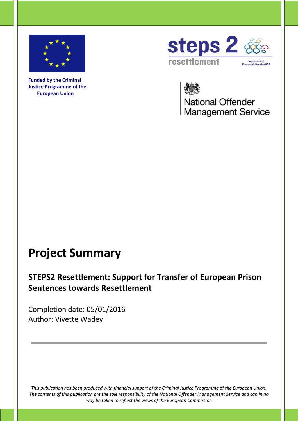

**Funded by the Criminal Justice Programme of the European Union**



National Offender<br>Management Service

## **Project Summary**

## **STEPS2 Resettlement: Support for Transfer of European Prison Sentences towards Resettlement**

Completion date: 05/01/2016 Author: Vivette Wadey

*This publication has been produced with financial support of the Criminal Justice Programme of the European Union. The contents of this publication are the sole responsibility of the National Offender Management Service and can in no way be taken to reflect the views of the European Commission*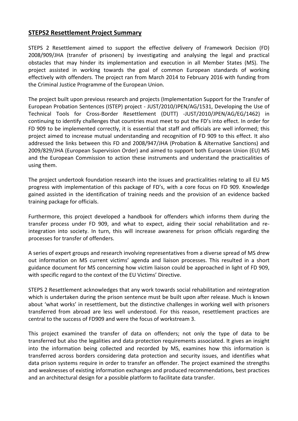## **STEPS2 Resettlement Project Summary**

STEPS 2 Resettlement aimed to support the effective delivery of Framework Decision (FD) 2008/909/JHA (transfer of prisoners) by investigating and analysing the legal and practical obstacles that may hinder its implementation and execution in all Member States (MS). The project assisted in working towards the goal of common European standards of working effectively with offenders. The project ran from March 2014 to February 2016 with funding from the Criminal Justice Programme of the European Union.

The project built upon previous research and projects (Implementation Support for the Transfer of European Probation Sentences (ISTEP) project - JUST/2010/JPEN/AG/1531, Developing the Use of Technical Tools for Cross-Border Resettlement (DUTT) -JUST/2010/JPEN/AG/EG/1462) in continuing to identify challenges that countries must meet to put the FD's into effect. In order for FD 909 to be implemented correctly, it is essential that staff and officials are well informed; this project aimed to increase mutual understanding and recognition of FD 909 to this effect. It also addressed the links between this FD and 2008/947/JHA (Probation & Alternative Sanctions) and 2009/829/JHA (European Supervision Order) and aimed to support both European Union (EU) MS and the European Commission to action these instruments and understand the practicalities of using them.

The project undertook foundation research into the issues and practicalities relating to all EU MS progress with implementation of this package of FD's, with a core focus on FD 909. Knowledge gained assisted in the identification of training needs and the provision of an evidence backed training package for officials.

Furthermore, this project developed a handbook for offenders which informs them during the transfer process under FD 909, and what to expect, aiding their social rehabilitation and reintegration into society. In turn, this will increase awareness for prison officials regarding the processes for transfer of offenders.

A series of expert groups and research involving representatives from a diverse spread of MS drew out information on MS current victims' agenda and liaison processes. This resulted in a short guidance document for MS concerning how victim liaison could be approached in light of FD 909, with specific regard to the context of the EU Victims' Directive.

STEPS 2 Resettlement acknowledges that any work towards social rehabilitation and reintegration which is undertaken during the prison sentence must be built upon after release. Much is known about 'what works' in resettlement, but the distinctive challenges in working well with prisoners transferred from abroad are less well understood. For this reason, resettlement practices are central to the success of FD909 and were the focus of workstream 3.

This project examined the transfer of data on offenders; not only the type of data to be transferred but also the legalities and data protection requirements associated. It gives an insight into the information being collected and recorded by MS, examines how this information is transferred across borders considering data protection and security issues, and identifies what data prison systems require in order to transfer an offender. The project examined the strengths and weaknesses of existing information exchanges and produced recommendations, best practices and an architectural design for a possible platform to facilitate data transfer.